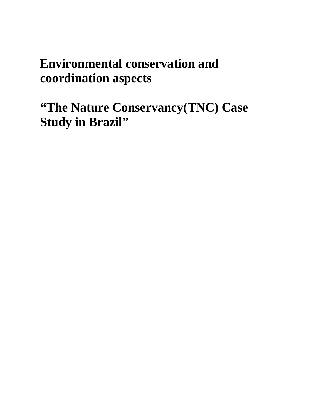# **Environmental conservation and coordination aspects**

**"The Nature Conservancy(TNC) Case Study in Brazil"**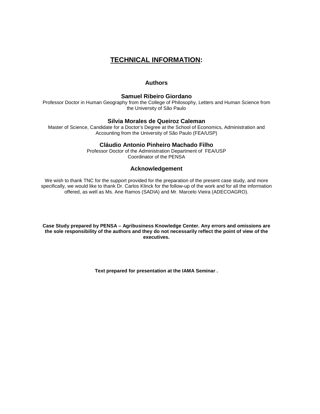# **TECHNICAL INFORMATION:**

#### **Authors**

#### **Samuel Ribeiro Giordano**

Professor Doctor in Human Geography from the College of Philosophy, Letters and Human Science from the University of São Paulo

#### **Silvia Morales de Queiroz Caleman**

Master of Science, Candidate for a Doctor's Degree at the School of Economics, Administration and Accounting from the University of São Paulo (FEA/USP)

#### **Cláudio Antonio Pinheiro Machado Filho**

Professor Doctor of the Administration Department of FEA/USP Coordinator of the PENSA

#### **Acknowledgement**

We wish to thank TNC for the support provided for the preparation of the present case study, and more specifically, we would like to thank Dr. Carlos Klinck for the follow-up of the work and for all the information offered, as well as Ms. Ane Ramos (SADIA) and Mr. Marcelo Vieira (ADECOAGRO).

**Case Study prepared by PENSA – Agribusiness Knowledge Center. Any errors and omissions are the sole responsibility of the authors and they do not necessarily reflect the point of view of the executives.** 

**Text prepared for presentation at the IAMA Seminar .**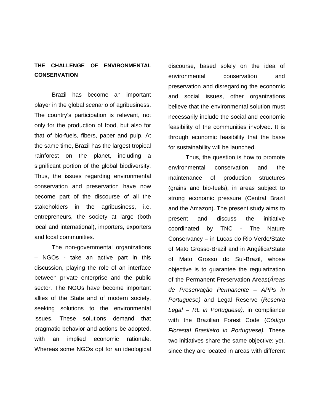## **THE CHALLENGE OF ENVIRONMENTAL CONSERVATION**

Brazil has become an important player in the global scenario of agribusiness. The country's participation is relevant, not only for the production of food, but also for that of bio-fuels, fibers, paper and pulp. At the same time, Brazil has the largest tropical rainforest on the planet, including a significant portion of the global biodiversity. Thus, the issues regarding environmental conservation and preservation have now become part of the discourse of all the stakeholders in the agribusiness, i.e. entrepreneurs, the society at large (both local and international), importers, exporters and local communities.

The non-governmental organizations – NGOs - take an active part in this discussion, playing the role of an interface between private enterprise and the public sector. The NGOs have become important allies of the State and of modern society, seeking solutions to the environmental issues. These solutions demand that pragmatic behavior and actions be adopted, with an implied economic rationale. Whereas some NGOs opt for an ideological discourse, based solely on the idea of environmental conservation and preservation and disregarding the economic and social issues, other organizations believe that the environmental solution must necessarily include the social and economic feasibility of the communities involved. It is through economic feasibility that the base for sustainability will be launched.

Thus, the question is how to promote environmental conservation and the maintenance of production structures (grains and bio-fuels), in areas subject to strong economic pressure (Central Brazil and the Amazon). The present study aims to present and discuss the initiative coordinated by TNC - The Nature Conservancy – in Lucas do Rio Verde/State of Mato Grosso-Brazil and in Angélica/State of Mato Grosso do Sul-Brazil, whose objective is to guarantee the regularization of the Permanent Preservation Areas(Areas de Preservação Permanente – APPs in Portuguese) and Legal Reserve (Reserva Legal – RL in Portuguese), in compliance with the Brazilian Forest Code (Código Florestal Brasileiro in Portuguese). These two initiatives share the same objective; yet, since they are located in areas with different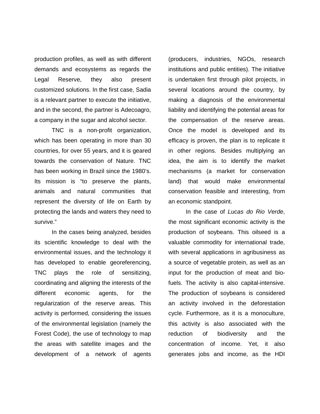production profiles, as well as with different demands and ecosystems as regards the Legal Reserve, they also present customized solutions. In the first case, Sadia is a relevant partner to execute the initiative, and in the second, the partner is Adecoagro, a company in the sugar and alcohol sector.

TNC is a non-profit organization, which has been operating in more than 30 countries, for over 55 years, and it is geared towards the conservation of Nature. TNC has been working in Brazil since the 1980's. Its mission is "to preserve the plants, animals and natural communities that represent the diversity of life on Earth by protecting the lands and waters they need to survive."

In the cases being analyzed, besides its scientific knowledge to deal with the environmental issues, and the technology it has developed to enable georeferencing, TNC plays the role of sensitizing, coordinating and aligning the interests of the different economic agents, for the regularization of the reserve areas. This activity is performed, considering the issues of the environmental legislation (namely the Forest Code), the use of technology to map the areas with satellite images and the development of a network of agents

(producers, industries, NGOs, research institutions and public entities). The initiative is undertaken first through pilot projects, in several locations around the country, by making a diagnosis of the environmental liability and identifying the potential areas for the compensation of the reserve areas. Once the model is developed and its efficacy is proven, the plan is to replicate it in other regions. Besides multiplying an idea, the aim is to identify the market mechanisms (a market for conservation land) that would make environmental conservation feasible and interesting, from an economic standpoint.

In the case of Lucas do Rio Verde, the most significant economic activity is the production of soybeans. This oilseed is a valuable commodity for international trade, with several applications in agribusiness as a source of vegetable protein, as well as an input for the production of meat and biofuels. The activity is also capital-intensive. The production of soybeans is considered an activity involved in the deforestation cycle. Furthermore, as it is a monoculture, this activity is also associated with the reduction of biodiversity and the concentration of income. Yet, it also generates jobs and income, as the HDI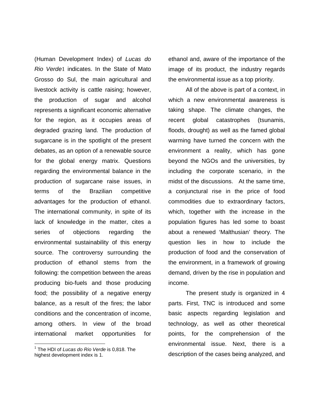(Human Development Index) of Lucas do Rio Verde1 indicates. In the State of Mato Grosso do Sul, the main agricultural and livestock activity is cattle raising; however, the production of sugar and alcohol represents a significant economic alternative for the region, as it occupies areas of degraded grazing land. The production of sugarcane is in the spotlight of the present debates, as an option of a renewable source for the global energy matrix. Questions regarding the environmental balance in the production of sugarcane raise issues, in terms of the Brazilian competitive advantages for the production of ethanol. The international community, in spite of its lack of knowledge in the matter, cites a series of objections regarding the environmental sustainability of this energy source. The controversy surrounding the production of ethanol stems from the following: the competition between the areas producing bio-fuels and those producing food; the possibility of a negative energy balance, as a result of the fires; the labor conditions and the concentration of income, among others. In view of the broad international market opportunities for

 $1$  The HDI of Lucas do Rio Verde is 0,818. The highest development index is 1.

 $\overline{a}$ 

ethanol and, aware of the importance of the image of its product, the industry regards the environmental issue as a top priority.

All of the above is part of a context, in which a new environmental awareness is taking shape. The climate changes, the recent global catastrophes (tsunamis, floods, drought) as well as the famed global warming have turned the concern with the environment a reality, which has gone beyond the NGOs and the universities, by including the corporate scenario, in the midst of the discussions. At the same time, a conjunctural rise in the price of food commodities due to extraordinary factors, which, together with the increase in the population figures has led some to boast about a renewed 'Malthusian' theory. The question lies in how to include the production of food and the conservation of the environment, in a framework of growing demand, driven by the rise in population and income.

The present study is organized in 4 parts. First, TNC is introduced and some basic aspects regarding legislation and technology, as well as other theoretical points, for the comprehension of the environmental issue. Next, there is a description of the cases being analyzed, and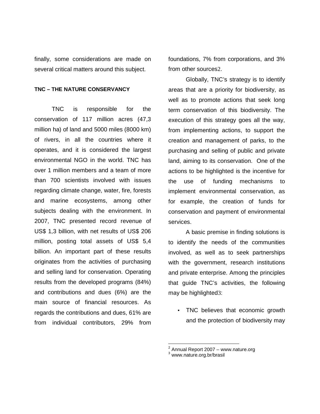finally, some considerations are made on several critical matters around this subject.

#### **TNC – THE NATURE CONSERVANCY**

TNC is responsible for the conservation of 117 million acres (47,3 million ha) of land and 5000 miles (8000 km) of rivers, in all the countries where it operates, and it is considered the largest environmental NGO in the world. TNC has over 1 million members and a team of more than 700 scientists involved with issues regarding climate change, water, fire, forests and marine ecosystems, among other subjects dealing with the environment. In 2007, TNC presented record revenue of US\$ 1,3 billion, with net results of US\$ 206 million, posting total assets of US\$ 5,4 billion. An important part of these results originates from the activities of purchasing and selling land for conservation. Operating results from the developed programs (84%) and contributions and dues (6%) are the main source of financial resources. As regards the contributions and dues, 61% are from individual contributors, 29% from

foundations, 7% from corporations, and 3% from other sources2.

Globally, TNC's strategy is to identify areas that are a priority for biodiversity, as well as to promote actions that seek long term conservation of this biodiversity. The execution of this strategy goes all the way, from implementing actions, to support the creation and management of parks, to the purchasing and selling of public and private land, aiming to its conservation. One of the actions to be highlighted is the incentive for the use of funding mechanisms to implement environmental conservation, as for example, the creation of funds for conservation and payment of environmental services.

A basic premise in finding solutions is to identify the needs of the communities involved, as well as to seek partnerships with the government, research institutions and private enterprise. Among the principles that guide TNC's activities, the following may be highlighted3:

• TNC believes that economic growth and the protection of biodiversity may

 2 Annual Report 2007 – www.nature.org

<sup>3</sup> www.nature.org.br/brasil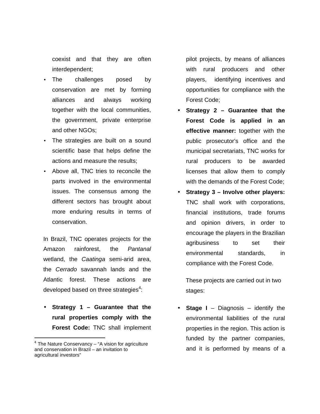coexist and that they are often interdependent;

- The challenges posed by conservation are met by forming alliances and always working together with the local communities, the government, private enterprise and other NGOs;
- The strategies are built on a sound scientific base that helps define the actions and measure the results;
- Above all, TNC tries to reconcile the parts involved in the environmental issues. The consensus among the different sectors has brought about more enduring results in terms of conservation.

In Brazil, TNC operates projects for the Amazon rainforest, the Pantanal wetland, the Caatinga semi-arid area, the Cerrado savannah lands and the Atlantic forest. These actions are developed based on three strategies<sup>4</sup>:

• **Strategy 1 – Guarantee that the rural properties comply with the Forest Code:** TNC shall implement

-

pilot projects, by means of alliances with rural producers and other players, identifying incentives and opportunities for compliance with the Forest Code;

- **Strategy 2 Guarantee that the Forest Code is applied in an effective manner:** together with the public prosecutor's office and the municipal secretariats, TNC works for rural producers to be awarded licenses that allow them to comply with the demands of the Forest Code;
- **Strategy 3 Involve other players:** TNC shall work with corporations, financial institutions, trade forums and opinion drivers, in order to encourage the players in the Brazilian agribusiness to set their environmental standards, in compliance with the Forest Code.

These projects are carried out in two stages:

**Stage I** – Diagnosis – identify the environmental liabilities of the rural properties in the region. This action is funded by the partner companies, and it is performed by means of a

 $4$  The Nature Conservancy – "A vision for agriculture and conservation in Brazil – an invitation to agricultural investors"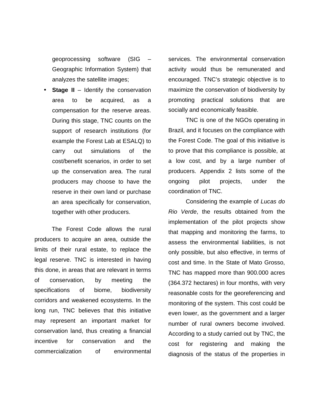geoprocessing software (SIG – Geographic Information System) that analyzes the satellite images;

**Stage II** – Identify the conservation area to be acquired, as a compensation for the reserve areas. During this stage, TNC counts on the support of research institutions (for example the Forest Lab at ESALQ) to carry out simulations of the cost/benefit scenarios, in order to set up the conservation area. The rural producers may choose to have the reserve in their own land or purchase an area specifically for conservation, together with other producers.

The Forest Code allows the rural producers to acquire an area, outside the limits of their rural estate, to replace the legal reserve. TNC is interested in having this done, in areas that are relevant in terms of conservation, by meeting the specifications of biome, biodiversity corridors and weakened ecosystems. In the long run, TNC believes that this initiative may represent an important market for conservation land, thus creating a financial incentive for conservation and the commercialization of environmental

services. The environmental conservation activity would thus be remunerated and encouraged. TNC's strategic objective is to maximize the conservation of biodiversity by promoting practical solutions that are socially and economically feasible.

TNC is one of the NGOs operating in Brazil, and it focuses on the compliance with the Forest Code. The goal of this initiative is to prove that this compliance is possible, at a low cost, and by a large number of producers. Appendix 2 lists some of the ongoing pilot projects, under the coordination of TNC.

Considering the example of Lucas do Rio Verde, the results obtained from the implementation of the pilot projects show that mapping and monitoring the farms, to assess the environmental liabilities, is not only possible, but also effective, in terms of cost and time. In the State of Mato Grosso, TNC has mapped more than 900.000 acres (364.372 hectares) in four months, with very reasonable costs for the georeferencing and monitoring of the system. This cost could be even lower, as the government and a larger number of rural owners become involved. According to a study carried out by TNC, the cost for registering and making the diagnosis of the status of the properties in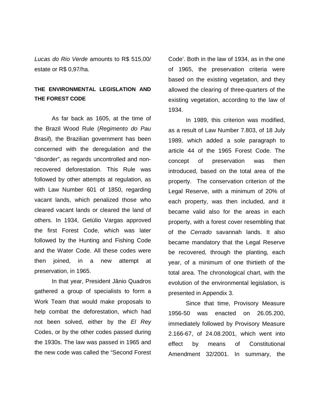Lucas do Rio Verde amounts to R\$ 515,00/ estate or R\$ 0,97/ha.

# **THE ENVIRONMENTAL LEGISLATION AND THE FOREST CODE**

As far back as 1605, at the time of the Brazil Wood Rule (Regimento do Pau Brasil), the Brazilian government has been concerned with the deregulation and the "disorder", as regards uncontrolled and nonrecovered deforestation. This Rule was followed by other attempts at regulation, as with Law Number 601 of 1850, regarding vacant lands, which penalized those who cleared vacant lands or cleared the land of others. In 1934, Getúlio Vargas approved the first Forest Code, which was later followed by the Hunting and Fishing Code and the Water Code. All these codes were then joined, in a new attempt at preservation, in 1965.

In that year, President Jânio Quadros gathered a group of specialists to form a Work Team that would make proposals to help combat the deforestation, which had not been solved, either by the El Rey Codes, or by the other codes passed during the 1930s. The law was passed in 1965 and the new code was called the "Second Forest

Code'. Both in the law of 1934, as in the one of 1965, the preservation criteria were based on the existing vegetation, and they allowed the clearing of three-quarters of the existing vegetation, according to the law of 1934.

In 1989, this criterion was modified, as a result of Law Number 7.803, of 18 July 1989, which added a sole paragraph to article 44 of the 1965 Forest Code. The concept of preservation was then introduced, based on the total area of the property. The conservation criterion of the Legal Reserve, with a minimum of 20% of each property, was then included, and it became valid also for the areas in each property, with a forest cover resembling that of the Cerrado savannah lands. It also became mandatory that the Legal Reserve be recovered, through the planting, each year, of a minimum of one thirtieth of the total area. The chronological chart, with the evolution of the environmental legislation, is presented in Appendix 3.

Since that time, Provisory Measure 1956-50 was enacted on 26.05.200, immediately followed by Provisory Measure 2.166-67, of 24.08.2001, which went into effect by means of Constitutional Amendment 32/2001. In summary, the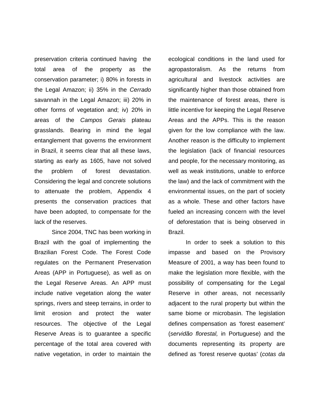preservation criteria continued having the total area of the property as the conservation parameter; i) 80% in forests in the Legal Amazon; ii) 35% in the Cerrado savannah in the Legal Amazon; iii) 20% in other forms of vegetation and; iv) 20% in areas of the Campos Gerais plateau grasslands. Bearing in mind the legal entanglement that governs the environment in Brazil, it seems clear that all these laws, starting as early as 1605, have not solved the problem of forest devastation. Considering the legal and concrete solutions to attenuate the problem, Appendix 4 presents the conservation practices that have been adopted, to compensate for the lack of the reserves.

Since 2004, TNC has been working in Brazil with the goal of implementing the Brazilian Forest Code. The Forest Code regulates on the Permanent Preservation Areas (APP in Portuguese), as well as on the Legal Reserve Areas. An APP must include native vegetation along the water springs, rivers and steep terrains, in order to limit erosion and protect the water resources. The objective of the Legal Reserve Areas is to guarantee a specific percentage of the total area covered with native vegetation, in order to maintain the ecological conditions in the land used for agropastoralism. As the returns from agricultural and livestock activities are significantly higher than those obtained from the maintenance of forest areas, there is little incentive for keeping the Legal Reserve Areas and the APPs. This is the reason given for the low compliance with the law. Another reason is the difficulty to implement the legislation (lack of financial resources and people, for the necessary monitoring, as well as weak institutions, unable to enforce the law) and the lack of commitment with the environmental issues, on the part of society as a whole. These and other factors have fueled an increasing concern with the level of deforestation that is being observed in Brazil.

In order to seek a solution to this impasse and based on the Provisory Measure of 2001, a way has been found to make the legislation more flexible, with the possibility of compensating for the Legal Reserve in other areas, not necessarily adjacent to the rural property but within the same biome or microbasin. The legislation defines compensation as 'forest easement' (servidão florestal, in Portuguese) and the documents representing its property are defined as 'forest reserve quotas' (cotas da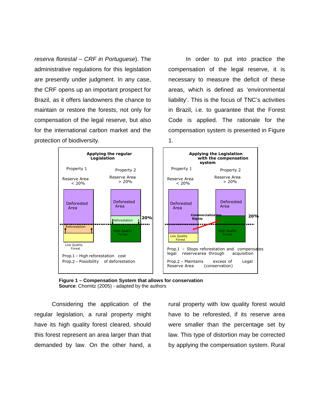reserva florestal – CRF in Portuguese). The administrative regulations for this legislation are presently under judgment. In any case, the CRF opens up an important prospect for Brazil, as it offers landowners the chance to maintain or restore the forests, not only for compensation of the legal reserve, but also for the international carbon market and the protection of biodiversity.

In order to put into practice the compensation of the legal reserve, it is necessary to measure the deficit of these areas, which is defined as 'environmental liability'. This is the focus of TNC's activities in Brazil, i.e. to guarantee that the Forest Code is applied. The rationale for the compensation system is presented in Figure 1.



**Figure 1 – Compensation System that allows for conservation Source**: Chomitz (2005) - adapted by the authors

Considering the application of the regular legislation, a rural property might have its high quality forest cleared, should this forest represent an area larger than that demanded by law. On the other hand, a

rural property with low quality forest would have to be reforested, if its reserve area were smaller than the percentage set by law. This type of distortion may be corrected by applying the compensation system. Rural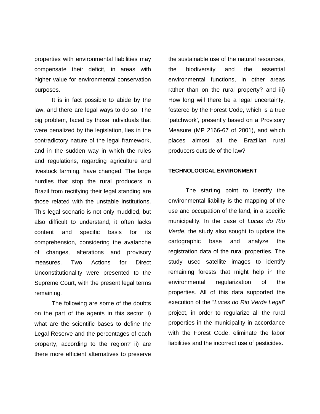properties with environmental liabilities may compensate their deficit, in areas with higher value for environmental conservation purposes.

It is in fact possible to abide by the law, and there are legal ways to do so. The big problem, faced by those individuals that were penalized by the legislation, lies in the contradictory nature of the legal framework, and in the sudden way in which the rules and regulations, regarding agriculture and livestock farming, have changed. The large hurdles that stop the rural producers in Brazil from rectifying their legal standing are those related with the unstable institutions. This legal scenario is not only muddled, but also difficult to understand; it often lacks content and specific basis for its comprehension, considering the avalanche of changes, alterations and provisory measures. Two Actions for Direct Unconstitutionality were presented to the Supreme Court, with the present legal terms remaining.

The following are some of the doubts on the part of the agents in this sector: i) what are the scientific bases to define the Legal Reserve and the percentages of each property, according to the region? ii) are there more efficient alternatives to preserve the sustainable use of the natural resources, the biodiversity and the essential environmental functions, in other areas rather than on the rural property? and iii) How long will there be a legal uncertainty, fostered by the Forest Code, which is a true 'patchwork', presently based on a Provisory Measure (MP 2166-67 of 2001), and which places almost all the Brazilian rural producers outside of the law?

#### **TECHNOLOGICAL ENVIRONMENT**

The starting point to identify the environmental liability is the mapping of the use and occupation of the land, in a specific municipality. In the case of Lucas do Rio Verde, the study also sought to update the cartographic base and analyze the registration data of the rural properties. The study used satellite images to identify remaining forests that might help in the environmental regularization of the properties. All of this data supported the execution of the "Lucas do Rio Verde Legal" project, in order to regularize all the rural properties in the municipality in accordance with the Forest Code, eliminate the labor liabilities and the incorrect use of pesticides.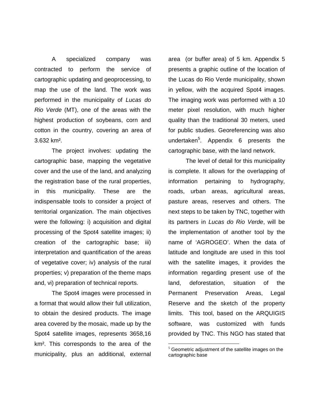A specialized company was contracted to perform the service of cartographic updating and geoprocessing, to map the use of the land. The work was performed in the municipality of Lucas do Rio Verde (MT), one of the areas with the highest production of soybeans, corn and cotton in the country, covering an area of 3.632 km².

The project involves: updating the cartographic base, mapping the vegetative cover and the use of the land, and analyzing the registration base of the rural properties, in this municipality. These are the indispensable tools to consider a project of territorial organization. The main objectives were the following: i) acquisition and digital processing of the Spot4 satellite images; ii) creation of the cartographic base; iii) interpretation and quantification of the areas of vegetative cover; iv) analysis of the rural properties; v) preparation of the theme maps and, vi) preparation of technical reports.

The Spot4 images were processed in a format that would allow their full utilization, to obtain the desired products. The image area covered by the mosaic, made up by the Spot4 satellite images, represents 3658,16 km². This corresponds to the area of the municipality, plus an additional, external area (or buffer area) of 5 km. Appendix 5 presents a graphic outline of the location of the Lucas do Rio Verde municipality, shown in yellow, with the acquired Spot4 images. The imaging work was performed with a 10 meter pixel resolution, with much higher quality than the traditional 30 meters, used for public studies. Georeferencing was also undertaken<sup>5</sup>. Appendix 6 presents the cartographic base, with the land network.

The level of detail for this municipality is complete. It allows for the overlapping of information pertaining to hydrography, roads, urban areas, agricultural areas, pasture areas, reserves and others. The next steps to be taken by TNC, together with its partners in Lucas do Rio Verde, will be the implementation of another tool by the name of 'AGROGEO'. When the data of latitude and longitude are used in this tool with the satellite images, it provides the information regarding present use of the land, deforestation, situation of the Permanent Preservation Areas, Legal Reserve and the sketch of the property limits. This tool, based on the ARQUIGIS software, was customized with funds provided by TNC. This NGO has stated that

-

 $5$  Geometric adjustment of the satellite images on the cartographic base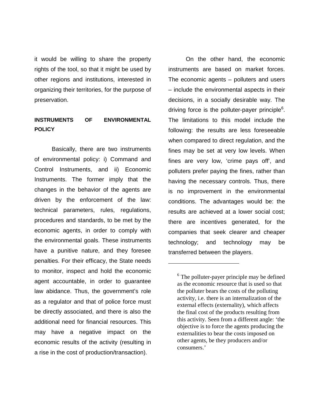it would be willing to share the property rights of the tool, so that it might be used by other regions and institutions, interested in organizing their territories, for the purpose of preservation.

## **INSTRUMENTS OF ENVIRONMENTAL POLICY**

Basically, there are two instruments of environmental policy: i) Command and Control Instruments, and ii) Economic Instruments. The former imply that the changes in the behavior of the agents are driven by the enforcement of the law: technical parameters, rules, regulations, procedures and standards, to be met by the economic agents, in order to comply with the environmental goals. These instruments have a punitive nature, and they foresee penalties. For their efficacy, the State needs to monitor, inspect and hold the economic agent accountable, in order to guarantee law abidance. Thus, the government's role as a regulator and that of police force must be directly associated, and there is also the additional need for financial resources. This may have a negative impact on the economic results of the activity (resulting in a rise in the cost of production/transaction).

On the other hand, the economic instruments are based on market forces. The economic agents – polluters and users – include the environmental aspects in their decisions, in a socially desirable way. The driving force is the polluter-payer principle<sup>6</sup>. The limitations to this model include the following: the results are less foreseeable when compared to direct regulation, and the fines may be set at very low levels. When fines are very low, 'crime pays off', and polluters prefer paying the fines, rather than having the necessary controls. Thus, there is no improvement in the environmental conditions. The advantages would be: the results are achieved at a lower social cost; there are incentives generated, for the companies that seek clearer and cheaper technology; and technology may be transferred between the players.

-

<sup>&</sup>lt;sup>6</sup> The polluter-payer principle may be defined as the economic resource that is used so that the polluter bears the costs of the polluting activity, i.e. there is an internalization of the external effects (externality), which affects the final cost of the products resulting from this activity. Seen from a different angle: 'the objective is to force the agents producing the externalities to bear the costs imposed on other agents, be they producers and/or consumers.'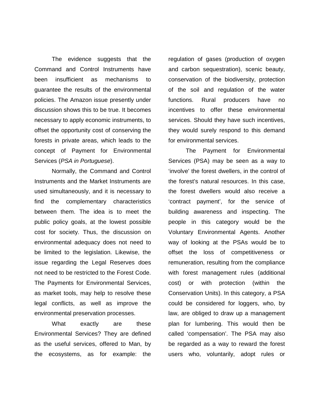The evidence suggests that the Command and Control Instruments have been insufficient as mechanisms to guarantee the results of the environmental policies. The Amazon issue presently under discussion shows this to be true. It becomes necessary to apply economic instruments, to offset the opportunity cost of conserving the forests in private areas, which leads to the concept of Payment for Environmental Services (PSA in Portuguese).

Normally, the Command and Control Instruments and the Market Instruments are used simultaneously, and it is necessary to find the complementary characteristics between them. The idea is to meet the public policy goals, at the lowest possible cost for society. Thus, the discussion on environmental adequacy does not need to be limited to the legislation. Likewise, the issue regarding the Legal Reserves does not need to be restricted to the Forest Code. The Payments for Environmental Services, as market tools, may help to resolve these legal conflicts, as well as improve the environmental preservation processes.

What exactly are these Environmental Services? They are defined as the useful services, offered to Man, by the ecosystems, as for example: the regulation of gases (production of oxygen and carbon sequestration), scenic beauty, conservation of the biodiversity, protection of the soil and regulation of the water functions. Rural producers have no incentives to offer these environmental services. Should they have such incentives, they would surely respond to this demand for environmental services.

The Payment for Environmental Services (PSA) may be seen as a way to 'involve' the forest dwellers, in the control of the forest's natural resources. In this case, the forest dwellers would also receive a 'contract payment', for the service of building awareness and inspecting. The people in this category would be the Voluntary Environmental Agents. Another way of looking at the PSAs would be to offset the loss of competitiveness or remuneration, resulting from the compliance with forest management rules (additional cost) or with protection (within the Conservation Units). In this category, a PSA could be considered for loggers, who, by law, are obliged to draw up a management plan for lumbering. This would then be called 'compensation'. The PSA may also be regarded as a way to reward the forest users who, voluntarily, adopt rules or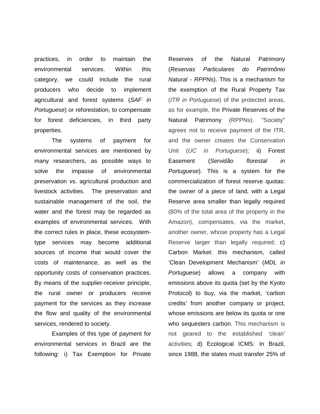practices, in order to maintain the environmental services. Within this category, we could include the rural producers who decide to implement agricultural and forest systems (SAF in Portuguese) or reforestation, to compensate for forest deficiencies, in third party properties.

The systems of payment for environmental services are mentioned by many researchers, as possible ways to solve the impasse of environmental preservation vs. agricultural production and livestock activities. The preservation and sustainable management of the soil, the water and the forest may be regarded as examples of environmental services. With the correct rules in place, these ecosystemtype services may become additional sources of income that would cover the costs of maintenance, as well as the opportunity costs of conservation practices. By means of the supplier-receiver principle, the rural owner or producers receive payment for the services as they increase the flow and quality of the environmental services, rendered to society.

Examples of this type of payment for environmental services in Brazil are the following: i) Tax Exemption for Private Reserves of the Natural Patrimony (Reservas Particulares do Patrimônio Natural - RPPNs). This is a mechanism for the exemption of the Rural Property Tax (ITR in Portuguese) of the protected areas, as for example, the Private Reserves of the Natural Patrimony (RPPNs). "Society" agrees not to receive payment of the ITR, and the owner creates the Conservation Unit (UC in Portuguese); ii) Forest Easement (Servidão florestal in Portuguese). This is a system for the commercialization of forest reserve quotas: the owner of a piece of land, with a Legal Reserve area smaller than legally required (80% of the total area of the property in the Amazon), compensates, via the market, another owner, whose property has a Legal Reserve larger than legally required; c) Carbon Market: this mechanism, called 'Clean Development Mechanism' (MDL in Portuguese) allows a company with emissions above its quota (set by the Kyoto Protocol) to buy, via the market, 'carbon credits' from another company or project, whose emissions are below its quota or one who sequesters carbon. This mechanism is not geared to the established 'clean' activities; d) Ecological ICMS: In Brazil, since 1988, the states must transfer 25% of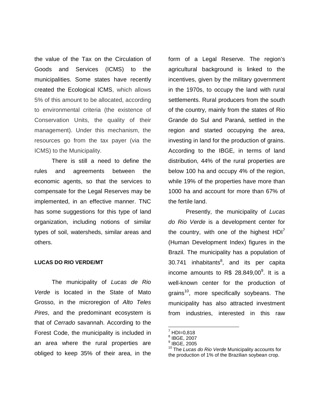the value of the Tax on the Circulation of Goods and Services (ICMS) to the municipalities. Some states have recently created the Ecological ICMS, which allows 5% of this amount to be allocated, according to environmental criteria (the existence of Conservation Units, the quality of their management). Under this mechanism, the resources go from the tax payer (via the ICMS) to the Municipality.

There is still a need to define the rules and agreements between the economic agents, so that the services to compensate for the Legal Reserves may be implemented, in an effective manner. TNC has some suggestions for this type of land organization, including notions of similar types of soil, watersheds, similar areas and others.

#### **LUCAS DO RIO VERDE/MT**

The municipality of Lucas de Rio Verde is located in the State of Mato Grosso, in the microregion of Alto Teles Pires, and the predominant ecosystem is that of Cerrado savannah. According to the Forest Code, the municipality is included in an area where the rural properties are obliged to keep 35% of their area, in the

form of a Legal Reserve. The region's agricultural background is linked to the incentives, given by the military government in the 1970s, to occupy the land with rural settlements. Rural producers from the south of the country, mainly from the states of Rio Grande do Sul and Paraná, settled in the region and started occupying the area, investing in land for the production of grains. According to the IBGE, in terms of land distribution, 44% of the rural properties are below 100 ha and occupy 4% of the region, while 19% of the properties have more than 1000 ha and account for more than 67% of the fertile land.

Presently, the municipality of Lucas do Rio Verde is a development center for the country, with one of the highest  $HDI'$ (Human Development Index) figures in the Brazil. The municipality has a population of 30.741 inhabitants<sup>8</sup>, and its per capita income amounts to R\$ 28.849,00 $^9$ . It is a well-known center for the production of grains<sup>10</sup>, more specifically soybeans. The municipality has also attracted investment from industries, interested in this raw

 $\overline{a}$ 

<sup>7</sup> HDI=0,818

<sup>8</sup> IBGE, 2007

<sup>9</sup> IBGE, 2005

<sup>&</sup>lt;sup>10</sup> The Lucas do Rio Verde Municipality accounts for the production of 1% of the Brazilian soybean crop.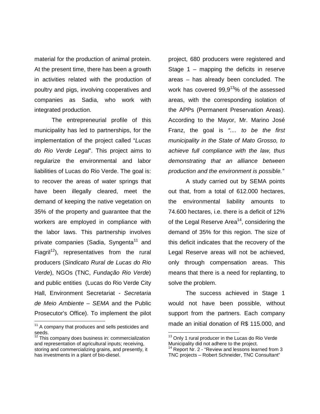material for the production of animal protein. At the present time, there has been a growth in activities related with the production of poultry and pigs, involving cooperatives and companies as Sadia, who work with integrated production.

The entrepreneurial profile of this municipality has led to partnerships, for the implementation of the project called "Lucas do Rio Verde Legal". This project aims to regularize the environmental and labor liabilities of Lucas do Rio Verde. The goal is: to recover the areas of water springs that have been illegally cleared, meet the demand of keeping the native vegetation on 35% of the property and guarantee that the workers are employed in compliance with the labor laws. This partnership involves private companies (Sadia, Syngenta<sup>11</sup> and Fiagril<sup>12</sup>), representatives from the rural producers (Sindicato Rural de Lucas do Rio Verde), NGOs (TNC, Fundação Rio Verde) and public entities (Lucas do Rio Verde City Hall, Environment Secretariat - Secretaria de Meio Ambiente – SEMA and the Public Prosecutor's Office). To implement the pilot -

project, 680 producers were registered and Stage 1 – mapping the deficits in reserve areas – has already been concluded. The work has covered  $99.9^{13}$ % of the assessed areas, with the corresponding isolation of the APPs (Permanent Preservation Areas). According to the Mayor, Mr. Marino José Franz, the goal is ".... to be the first municipality in the State of Mato Grosso, to achieve full compliance with the law, thus demonstrating that an alliance between production and the environment is possible."

A study carried out by SEMA points out that, from a total of 612.000 hectares, the environmental liability amounts to 74.600 hectares, i.e. there is a deficit of 12% of the Legal Reserve Area<sup>14</sup>, considering the demand of 35% for this region. The size of this deficit indicates that the recovery of the Legal Reserve areas will not be achieved, only through compensation areas. This means that there is a need for replanting, to solve the problem.

The success achieved in Stage 1 would not have been possible, without support from the partners. Each company made an initial donation of R\$ 115.000, and

-

 $11$  A company that produces and sells pesticides and seeds.

This company does business in: commercialization and representation of agricultural inputs; receiving, storing and commercializing grains, and presently, it has investments in a plant of bio-diesel.

<sup>&</sup>lt;sup>13</sup> Only 1 rural producer in the Lucas do Rio Verde Municipality did not adhere to the project.

Report Nr. 2 - "Review and lessons learned from 3 TNC projects – Robert Schneider, TNC Consultant"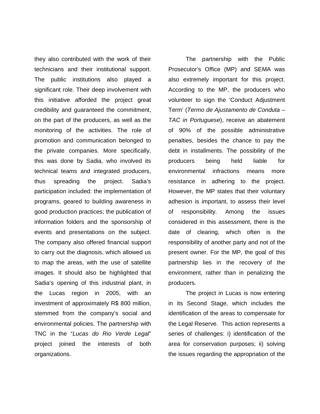they also contributed with the work of their technicians and their institutional support. The public institutions also played a significant role. Their deep involvement with this initiative afforded the project great credibility and guaranteed the commitment, on the part of the producers, as well as the monitoring of the activities. The role of promotion and communication belonged to the private companies. More specifically, this was done by Sadia, who involved its technical teams and integrated producers, thus spreading the project. Sadia's participation included: the implementation of programs, geared to building awareness in good production practices; the publication of information folders and the sponsorship of events and presentations on the subject. The company also offered financial support to carry out the diagnosis, which allowed us to map the areas, with the use of satellite images. It should also be highlighted that Sadia's opening of this industrial plant, in the Lucas region in 2005, with an investment of approximately R\$ 800 million, stemmed from the company's social and environmental policies. The partnership with TNC in the "Lucas do Rio Verde Legal" project joined the interests of both organizations.

The partnership with the Public Prosecutor's Office (MP) and SEMA was also extremely important for this project. According to the MP, the producers who volunteer to sign the 'Conduct Adjustment Term' (Termo de Ajustamento de Conduta – TAC in Portuguese), receive an abatement of 90% of the possible administrative penalties, besides the chance to pay the debt in installments. The possibility of the producers being held liable for environmental infractions means more resistance in adhering to the project. However, the MP states that their voluntary adhesion is important, to assess their level of responsibility. Among the issues considered in this assessment, there is the date of clearing, which often is the responsibility of another party and not of the present owner. For the MP, the goal of this partnership lies in the recovery of the environment, rather than in penalizing the producers.

The project in Lucas is now entering in its Second Stage, which includes the identification of the areas to compensate for the Legal Reserve. This action represents a series of challenges: i) identification of the area for conservation purposes; ii) solving the issues regarding the appropriation of the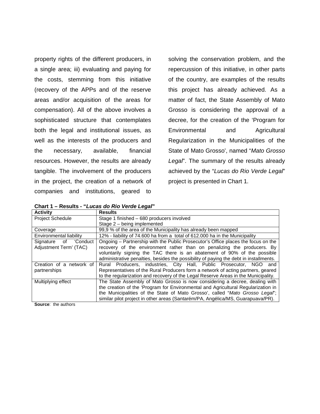property rights of the different producers, in a single area; iii) evaluating and paying for the costs, stemming from this initiative (recovery of the APPs and of the reserve areas and/or acquisition of the areas for compensation). All of the above involves a sophisticated structure that contemplates both the legal and institutional issues, as well as the interests of the producers and the necessary, available, financial resources. However, the results are already tangible. The involvement of the producers in the project, the creation of a network of companies and institutions, geared to

solving the conservation problem, and the repercussion of this initiative, in other parts of the country, are examples of the results this project has already achieved. As a matter of fact, the State Assembly of Mato Grosso is considering the approval of a decree, for the creation of the 'Program for Environmental and Agricultural Regularization in the Municipalities of the State of Mato Grosso', named "Mato Grosso Legal". The summary of the results already achieved by the "Lucas do Rio Verde Legal" project is presented in Chart 1.

**Chart 1 – Results - "Lucas do Rio Verde Legal"** 

| <b>Activity</b>          | <b>Results</b>                                                                        |
|--------------------------|---------------------------------------------------------------------------------------|
| <b>Project Schedule</b>  | Stage 1 finished - 680 producers involved                                             |
|                          | Stage 2 – being implemented                                                           |
| Coverage                 | 99,9 % of the area of the Municipality has already been mapped                        |
| Environmental liability  | 12% - liability of 74.600 ha from a total of 612.000 ha in the Municipality           |
| Signature of<br>'Conduct | Ongoing – Partnership with the Public Prosecutor's Office places the focus on the     |
| Adjustment Term' (TAC)   | recovery of the environment rather than on penalizing the producers. By               |
|                          | voluntarily signing the TAC there is an abatement of 90% of the possible              |
|                          | administrative penalties, besides the possibility of paying the debt in installments. |
| Creation of a network of | Rural Producers, industries, City Hall, Public Prosecutor, NGO and                    |
| partnerships             | Representatives of the Rural Producers form a network of acting partners, geared      |
|                          | to the regularization and recovery of the Legal Reserve Areas in the Municipality.    |
| Multiplying effect       | The State Assembly of Mato Grosso is now considering a decree, dealing with           |
|                          | the creation of the 'Program for Environmental and Agricultural Regularization in     |
|                          | the Municipalities of the State of Mato Grosso', called "Mato Grosso Legal";          |
|                          | similar pilot project in other areas (Santarém/PA, Angélica/MS, Guarapuava/PR).       |

**Source**: the authors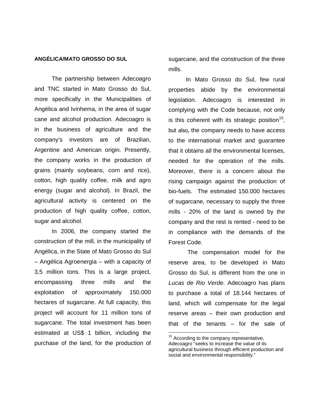#### **ANGÉLICA/MATO GROSSO DO SUL**

The partnership between Adecoagro and TNC started in Mato Grosso do Sul, more specifically in the Municipalities of Angélica and Ivinhema, in the area of sugar cane and alcohol production. Adecoagro is in the business of agriculture and the company's investors are of Brazilian, Argentine and American origin. Presently, the company works in the production of grains (mainly soybeans, corn and rice), cotton, high quality coffee, milk and agro energy (sugar and alcohol). In Brazil, the agricultural activity is centered on the production of high quality coffee, cotton, sugar and alcohol.

In 2006, the company started the construction of the mill, in the municipality of Angélica, in the State of Mato Grosso do Sul – Angélica Agroenergia – with a capacity of 3,5 million tons. This is a large project, encompassing three mills and the exploitation of approximately 150.000 hectares of sugarcane. At full capacity, this project will account for 11 million tons of sugarcane. The total investment has been estimated at US\$ 1 billion, including the purchase of the land, for the production of sugarcane, and the construction of the three mills.

In Mato Grosso do Sul, few rural properties abide by the environmental legislation. Adecoagro is interested in complying with the Code because, not only is this coherent with its strategic position<sup>15</sup>, but also, the company needs to have access to the international market and guarantee that it obtains all the environmental licenses, needed for the operation of the mills. Moreover, there is a concern about the rising campaign against the production of bio-fuels. The estimated 150.000 hectares of sugarcane, necessary to supply the three mills - 20% of the land is owned by the company and the rest is rented - need to be in compliance with the demands of the Forest Code.

 The compensation model for the reserve area, to be developed in Mato Grosso do Sul, is different from the one in Lucas de Rio Verde. Adecoagro has plans to purchase a total of 18.144 hectares of land, which will compensate for the legal reserve areas – their own production and that of the tenants – for the sale of

 $\overline{a}$ 

<sup>&</sup>lt;sup>15</sup> According to the company representative, Adecoagro "seeks to increase the value of its agricultural business through efficient production and social and environmental responsibility."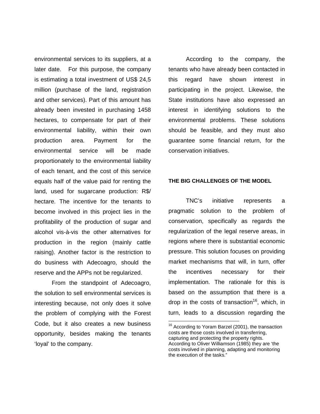environmental services to its suppliers, at a later date. For this purpose, the company is estimating a total investment of US\$ 24,5 million (purchase of the land, registration and other services). Part of this amount has already been invested in purchasing 1458 hectares, to compensate for part of their environmental liability, within their own production area. Payment for the environmental service will be made proportionately to the environmental liability of each tenant, and the cost of this service equals half of the value paid for renting the land, used for sugarcane production: R\$/ hectare. The incentive for the tenants to become involved in this project lies in the profitability of the production of sugar and alcohol vis-à-vis the other alternatives for production in the region (mainly cattle raising). Another factor is the restriction to do business with Adecoagro, should the reserve and the APPs not be regularized.

From the standpoint of Adecoagro, the solution to sell environmental services is interesting because, not only does it solve the problem of complying with the Forest Code, but it also creates a new business opportunity, besides making the tenants 'loyal' to the company.

According to the company, the tenants who have already been contacted in this regard have shown interest in participating in the project. Likewise, the State institutions have also expressed an interest in identifying solutions to the environmental problems. These solutions should be feasible, and they must also guarantee some financial return, for the conservation initiatives.

#### **THE BIG CHALLENGES OF THE MODEL**

TNC's initiative represents a pragmatic solution to the problem of conservation, specifically as regards the regularization of the legal reserve areas, in regions where there is substantial economic pressure. This solution focuses on providing market mechanisms that will, in turn, offer the incentives necessary for their implementation. The rationale for this is based on the assumption that there is a drop in the costs of transaction<sup>16</sup>, which, in turn, leads to a discussion regarding the

 $\overline{a}$ 

<sup>&</sup>lt;sup>16</sup> According to Yoram Barzel (2001), the transaction costs are those costs involved in transferring, capturing and protecting the property rights. According to Oliver Williamson (1985) they are 'the costs involved in planning, adapting and monitoring the execution of the tasks."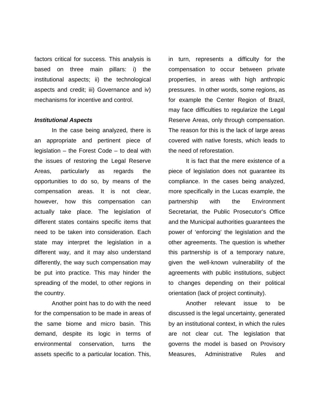factors critical for success. This analysis is based on three main pillars: i) the institutional aspects; ii) the technological aspects and credit; iii) Governance and iv) mechanisms for incentive and control.

#### **Institutional Aspects**

In the case being analyzed, there is an appropriate and pertinent piece of legislation – the Forest Code – to deal with the issues of restoring the Legal Reserve Areas, particularly as regards the opportunities to do so, by means of the compensation areas. It is not clear, however, how this compensation can actually take place. The legislation of different states contains specific items that need to be taken into consideration. Each state may interpret the legislation in a different way, and it may also understand differently, the way such compensation may be put into practice. This may hinder the spreading of the model, to other regions in the country.

Another point has to do with the need for the compensation to be made in areas of the same biome and micro basin. This demand, despite its logic in terms of environmental conservation, turns the assets specific to a particular location. This,

in turn, represents a difficulty for the compensation to occur between private properties, in areas with high anthropic pressures. In other words, some regions, as for example the Center Region of Brazil, may face difficulties to regularize the Legal Reserve Areas, only through compensation. The reason for this is the lack of large areas covered with native forests, which leads to the need of reforestation.

It is fact that the mere existence of a piece of legislation does not guarantee its compliance. In the cases being analyzed, more specifically in the Lucas example, the partnership with the Environment Secretariat, the Public Prosecutor's Office and the Municipal authorities guarantees the power of 'enforcing' the legislation and the other agreements. The question is whether this partnership is of a temporary nature, given the well-known vulnerability of the agreements with public institutions, subject to changes depending on their political orientation (lack of project continuity).

Another relevant issue to be discussed is the legal uncertainty, generated by an institutional context, in which the rules are not clear cut. The legislation that governs the model is based on Provisory Measures, Administrative Rules and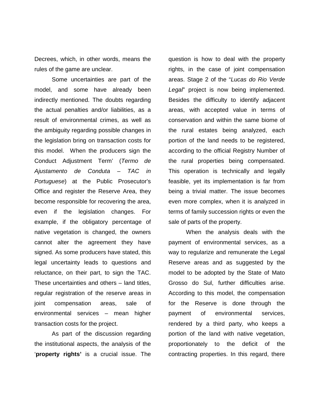Decrees, which, in other words, means the rules of the game are unclear.

Some uncertainties are part of the model, and some have already been indirectly mentioned. The doubts regarding the actual penalties and/or liabilities, as a result of environmental crimes, as well as the ambiguity regarding possible changes in the legislation bring on transaction costs for this model. When the producers sign the Conduct Adjustment Term' (Termo de Ajustamento de Conduta – TAC in Portuguese) at the Public Prosecutor's Office and register the Reserve Area, they become responsible for recovering the area, even if the legislation changes. For example, if the obligatory percentage of native vegetation is changed, the owners cannot alter the agreement they have signed. As some producers have stated, this legal uncertainty leads to questions and reluctance, on their part, to sign the TAC. These uncertainties and others – land titles, regular registration of the reserve areas in joint compensation areas, sale of environmental services – mean higher transaction costs for the project.

As part of the discussion regarding the institutional aspects, the analysis of the '**property rights'** is a crucial issue. The question is how to deal with the property rights, in the case of joint compensation areas. Stage 2 of the "Lucas do Rio Verde Legal" project is now being implemented. Besides the difficulty to identify adjacent areas, with accepted value in terms of conservation and within the same biome of the rural estates being analyzed, each portion of the land needs to be registered, according to the official Registry Number of the rural properties being compensated. This operation is technically and legally feasible, yet its implementation is far from being a trivial matter. The issue becomes even more complex, when it is analyzed in terms of family succession rights or even the sale of parts of the property.

When the analysis deals with the payment of environmental services, as a way to regularize and remunerate the Legal Reserve areas and as suggested by the model to be adopted by the State of Mato Grosso do Sul, further difficulties arise. According to this model, the compensation for the Reserve is done through the payment of environmental services, rendered by a third party, who keeps a portion of the land with native vegetation, proportionately to the deficit of the contracting properties. In this regard, there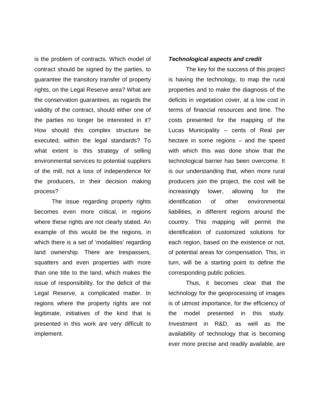is the problem of contracts. Which model of contract should be signed by the parties, to guarantee the transitory transfer of property rights, on the Legal Reserve area? What are the conservation guarantees, as regards the validity of the contract, should either one of the parties no longer be interested in it? How should this complex structure be executed, within the legal standards? To what extent is this strategy of selling environmental services to potential suppliers of the mill, not a loss of independence for the producers, in their decision making process?

The issue regarding property rights becomes even more critical, in regions where these rights are not clearly stated. An example of this would be the regions, in which there is a set of 'modalities' regarding land ownership. There are trespassers, squatters and even properties with more than one title to the land, which makes the issue of responsibility, for the deficit of the Legal Reserve, a complicated matter. In regions where the property rights are not legitimate, initiatives of the kind that is presented in this work are very difficult to implement.

#### **Technological aspects and credit**

The key for the success of this project is having the technology, to map the rural properties and to make the diagnosis of the deficits in vegetation cover, at a low cost in terms of financial resources and time. The costs presented for the mapping of the Lucas Municipality – cents of Real per hectare in some regions – and the speed with which this was done show that the technological barrier has been overcome. It is our understanding that, when more rural producers join the project, the cost will be increasingly lower, allowing for the identification of other environmental liabilities, in different regions around the country. This mapping will permit the identification of customized solutions for each region, based on the existence or not, of potential areas for compensation. This, in turn, will be a starting point to define the corresponding public policies.

Thus, it becomes clear that the technology for the geoprocessing of images is of utmost importance, for the efficiency of the model presented in this study. Investment in R&D, as well as the availability of technology that is becoming ever more precise and readily available, are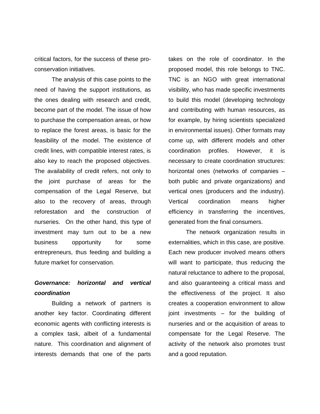critical factors, for the success of these proconservation initiatives.

The analysis of this case points to the need of having the support institutions, as the ones dealing with research and credit, become part of the model. The issue of how to purchase the compensation areas, or how to replace the forest areas, is basic for the feasibility of the model. The existence of credit lines, with compatible interest rates, is also key to reach the proposed objectives. The availability of credit refers, not only to the joint purchase of areas for the compensation of the Legal Reserve, but also to the recovery of areas, through reforestation and the construction of nurseries. On the other hand, this type of investment may turn out to be a new business opportunity for some entrepreneurs, thus feeding and building a future market for conservation.

# **Governance: horizontal and vertical coordination**

Building a network of partners is another key factor. Coordinating different economic agents with conflicting interests is a complex task, albeit of a fundamental nature. This coordination and alignment of interests demands that one of the parts takes on the role of coordinator. In the proposed model, this role belongs to TNC. TNC is an NGO with great international visibility, who has made specific investments to build this model (developing technology and contributing with human resources, as for example, by hiring scientists specialized in environmental issues). Other formats may come up, with different models and other coordination profiles. However, it is necessary to create coordination structures: horizontal ones (networks of companies – both public and private organizations) and vertical ones (producers and the industry). Vertical coordination means higher efficiency in transferring the incentives, generated from the final consumers.

The network organization results in externalities, which in this case, are positive. Each new producer involved means others will want to participate, thus reducing the natural reluctance to adhere to the proposal, and also guaranteeing a critical mass and the effectiveness of the project. It also creates a cooperation environment to allow joint investments – for the building of nurseries and or the acquisition of areas to compensate for the Legal Reserve. The activity of the network also promotes trust and a good reputation.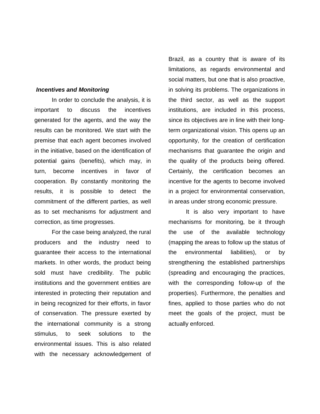#### **Incentives and Monitoring**

In order to conclude the analysis, it is important to discuss the incentives generated for the agents, and the way the results can be monitored. We start with the premise that each agent becomes involved in the initiative, based on the identification of potential gains (benefits), which may, in turn, become incentives in favor of cooperation. By constantly monitoring the results, it is possible to detect the commitment of the different parties, as well as to set mechanisms for adjustment and correction, as time progresses.

For the case being analyzed, the rural producers and the industry need to guarantee their access to the international markets. In other words, the product being sold must have credibility. The public institutions and the government entities are interested in protecting their reputation and in being recognized for their efforts, in favor of conservation. The pressure exerted by the international community is a strong stimulus, to seek solutions to the environmental issues. This is also related with the necessary acknowledgement of Brazil, as a country that is aware of its limitations, as regards environmental and social matters, but one that is also proactive, in solving its problems. The organizations in the third sector, as well as the support institutions, are included in this process, since its objectives are in line with their longterm organizational vision. This opens up an opportunity, for the creation of certification mechanisms that guarantee the origin and the quality of the products being offered. Certainly, the certification becomes an incentive for the agents to become involved in a project for environmental conservation, in areas under strong economic pressure.

It is also very important to have mechanisms for monitoring, be it through the use of the available technology (mapping the areas to follow up the status of the environmental liabilities), or by strengthening the established partnerships (spreading and encouraging the practices, with the corresponding follow-up of the properties). Furthermore, the penalties and fines, applied to those parties who do not meet the goals of the project, must be actually enforced.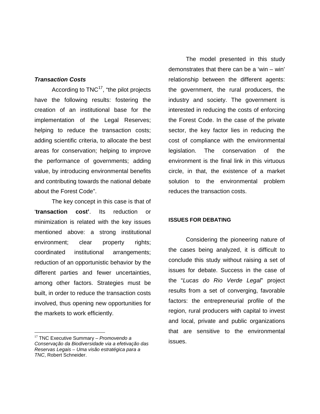#### **Transaction Costs**

According to  $TNC^{17}$ , "the pilot projects have the following results: fostering the creation of an institutional base for the implementation of the Legal Reserves; helping to reduce the transaction costs; adding scientific criteria, to allocate the best areas for conservation; helping to improve the performance of governments; adding value, by introducing environmental benefits and contributing towards the national debate about the Forest Code".

The key concept in this case is that of '**transaction cost'**. Its reduction or minimization is related with the key issues mentioned above: a strong institutional environment; clear property rights; coordinated institutional arrangements; reduction of an opportunistic behavior by the different parties and fewer uncertainties, among other factors. Strategies must be built, in order to reduce the transaction costs involved, thus opening new opportunities for the markets to work efficiently.

 $\overline{a}$ 

The model presented in this study demonstrates that there can be a 'win – win' relationship between the different agents: the government, the rural producers, the industry and society. The government is interested in reducing the costs of enforcing the Forest Code. In the case of the private sector, the key factor lies in reducing the cost of compliance with the environmental legislation. The conservation of the environment is the final link in this virtuous circle, in that, the existence of a market solution to the environmental problem reduces the transaction costs.

#### **ISSUES FOR DEBATING**

Considering the pioneering nature of the cases being analyzed, it is difficult to conclude this study without raising a set of issues for debate. Success in the case of the "Lucas do Rio Verde Legal" project results from a set of converging, favorable factors: the entrepreneurial profile of the region, rural producers with capital to invest and local, private and public organizations that are sensitive to the environmental issues.

 $17$  TNC Executive Summary – Promovendo a Conservação da Biodiversidade via a efetivação das Reservas Legais – Uma visão estratégica para a TNC, Robert Schneider.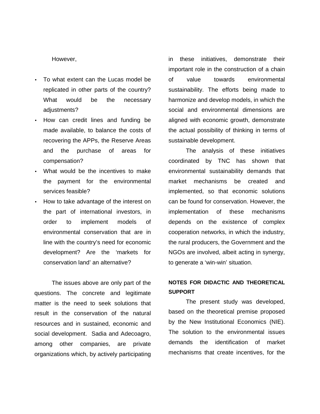#### However,

- To what extent can the Lucas model be replicated in other parts of the country? What would be the necessary adjustments?
- How can credit lines and funding be made available, to balance the costs of recovering the APPs, the Reserve Areas and the purchase of areas for compensation?
- What would be the incentives to make the payment for the environmental services feasible?
- How to take advantage of the interest on the part of international investors, in order to implement models of environmental conservation that are in line with the country's need for economic development? Are the 'markets for conservation land' an alternative?

The issues above are only part of the questions. The concrete and legitimate matter is the need to seek solutions that result in the conservation of the natural resources and in sustained, economic and social development. Sadia and Adecoagro, among other companies, are private organizations which, by actively participating

in these initiatives, demonstrate their important role in the construction of a chain of value towards environmental sustainability. The efforts being made to harmonize and develop models, in which the social and environmental dimensions are aligned with economic growth, demonstrate the actual possibility of thinking in terms of sustainable development.

The analysis of these initiatives coordinated by TNC has shown that environmental sustainability demands that market mechanisms be created and implemented, so that economic solutions can be found for conservation. However, the implementation of these mechanisms depends on the existence of complex cooperation networks, in which the industry, the rural producers, the Government and the NGOs are involved, albeit acting in synergy, to generate a 'win-win' situation.

# **NOTES FOR DIDACTIC AND THEORETICAL SUPPORT**

The present study was developed, based on the theoretical premise proposed by the New Institutional Economics (NIE). The solution to the environmental issues demands the identification of market mechanisms that create incentives, for the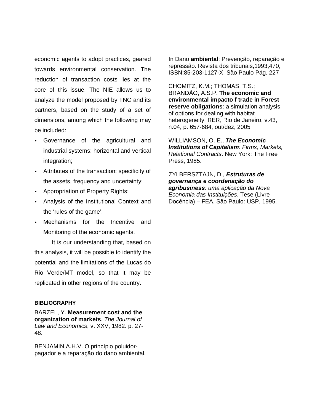economic agents to adopt practices, geared towards environmental conservation. The reduction of transaction costs lies at the core of this issue. The NIE allows us to analyze the model proposed by TNC and its partners, based on the study of a set of dimensions, among which the following may be included:

- Governance of the agricultural and industrial systems: horizontal and vertical integration;
- Attributes of the transaction: specificity of the assets, frequency and uncertainty;
- Appropriation of Property Rights;
- Analysis of the Institutional Context and the 'rules of the game'.
- Mechanisms for the Incentive and Monitoring of the economic agents.

It is our understanding that, based on this analysis, it will be possible to identify the potential and the limitations of the Lucas do Rio Verde/MT model, so that it may be replicated in other regions of the country.

#### **BIBLIOGRAPHY**

BARZEL, Y. **Measurement cost and the organization of markets**. The Journal of Law and Economics, v. XXV, 1982. p. 27- 48.

BENJAMIN,A.H.V. O princípio poluidorpagador e a reparação do dano ambiental. In Dano **ambiental**: Prevenção, reparação e repressão. Revista dos tribunais,1993,470, ISBN:85-203-1127-X, São Paulo Pág. 227

CHOMITZ, K.M.; THOMAS, T.S.; BRANDÃO, A.S.P. **The economic and environmental impacto f trade in Forest reserve obligations**: a simulation analysis of options for dealing with habitat heterogeneity. RER, Rio de Janeiro, v.43, n.04, p. 657-684, out/dez, 2005

WILLIAMSON, O. E., **The Economic Institutions of Capitalism**: Firms, Markets, Relational Contracts. New York: The Free Press, 1985.

ZYLBERSZTAJN, D., **Estruturas de governança e coordenação do agribusiness**: uma aplicação da Nova Economia das Instituições. Tese (Livre Docência) – FEA. São Paulo: USP, 1995.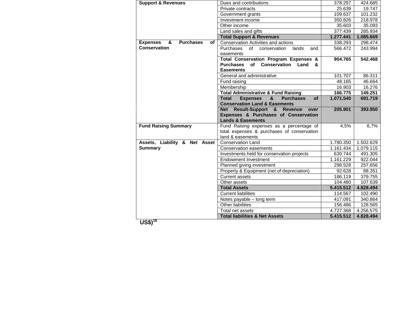| <b>Support &amp; Revenues</b>                  | Dues and contributions                                         | 378.297   | 424.685   |
|------------------------------------------------|----------------------------------------------------------------|-----------|-----------|
|                                                | Private contracts                                              | 25.639    | 19.747    |
|                                                | Government grants                                              | 109.637   | 101.232   |
|                                                | Investment income                                              | 350.826   | 218.978   |
|                                                | Other income                                                   | 35.603    | 35.093    |
|                                                | Land sales and gifts                                           | 377.439   | 285.934   |
|                                                | <b>Total Support &amp; Revenues</b>                            | 1.277.441 | 1.085.669 |
| &<br><b>Purchases</b><br><b>Expenses</b><br>of | <b>Conservation Activities and actions</b>                     | 338.293   | 298.474   |
| Conservation                                   | <b>Purchases</b><br>of<br>conservation<br>lands<br>and         | 566.472   | 243.994   |
|                                                | easements                                                      |           |           |
|                                                | Total Conservation Program Expenses &                          | 904.765   | 542.468   |
|                                                | of Conservation Land<br><b>Purchases</b><br>&                  |           |           |
|                                                | <b>Easements</b>                                               |           |           |
|                                                | General and administrative                                     | 101.707   | 86.311    |
|                                                | Fund raising                                                   | 48.165    | 46.664    |
|                                                | Membership                                                     | 16.903    | 16.276    |
|                                                | <b>Total Administrative &amp; Fund Raising</b>                 | 166.775   | 149.251   |
|                                                | <b>Total</b><br>8<br><b>Expenses</b><br><b>Purchases</b><br>οf | 1.071.540 | 691.719   |
|                                                | <b>Conservation Land &amp; Easements</b>                       |           |           |
|                                                | Net Result-Support & Revenue<br>over                           | 205.901   | 393.950   |
|                                                | Expenses & Purchases of Conservation                           |           |           |
|                                                | <b>Lands &amp; Easements</b>                                   |           |           |
| <b>Fund Raising Summary</b>                    | Fund Raising expenses as a percentage of                       | 4,5%      | 6,7%      |
|                                                | total expenses & purchases of conservation                     |           |           |
|                                                | land & easements                                               |           |           |
| Assets, Liability & Net Asset                  | <b>Conservation Land</b>                                       | 1.780.350 | 1.502.629 |
| <b>Summary</b>                                 | Conservation easements                                         | 1.161.434 | 1.079.115 |
|                                                | Investments held for conservation projects                     | 630.744   | 491.305   |
|                                                | <b>Endowment Investment</b>                                    | 1.161.229 | 922.044   |
|                                                | Planned giving investment                                      | 298.528   | 257.656   |
|                                                | Property & Equipment (net of depreciation)                     | 92.628    | 88.351    |
|                                                | <b>Current assets</b>                                          | 186.119   | 379.755   |
|                                                | Other assets                                                   | 104.480   | 107.639   |
|                                                | <b>Total Assets</b>                                            | 5.415.512 | 4.828.494 |
|                                                | <b>Current liabilities</b>                                     | 114.567   | 102.490   |
|                                                | Notes payable - long term                                      | 417.091   | 340.864   |
|                                                | Other liabilities                                              | 156.486   | 128.565   |
|                                                | Total net assets                                               | 4.727.368 | 4.256.575 |
|                                                | <b>Total liabilities &amp; Net Assets</b>                      | 5.415.512 | 4.828.494 |

**US\$)<sup>18</sup>**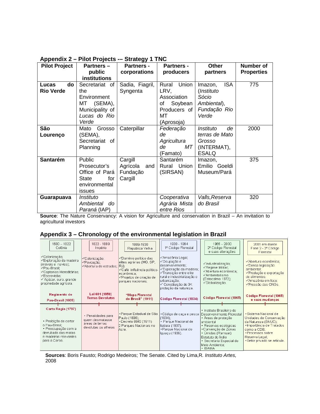| . .pp -<br><b>Pilot Project</b> | <b>Partners -</b>   | <b>Partners -</b> | <b>Partners -</b> | <b>Other</b>          | <b>Number of</b>  |
|---------------------------------|---------------------|-------------------|-------------------|-----------------------|-------------------|
|                                 | public              | corporations      | producers         |                       | <b>Properties</b> |
|                                 |                     |                   |                   | partners              |                   |
|                                 | <b>institutions</b> |                   |                   |                       |                   |
| do<br>Lucas                     | Secretariat of      | Sadia, Fiagril,   | Rural Union       | <b>ISA</b><br>Imazon, | 775               |
| <b>Rio Verde</b>                | the                 | Syngenta          | LRV,              | (Instituto            |                   |
|                                 | Environment         |                   | Association       | Sócio                 |                   |
|                                 | (SEMA),<br>МT       |                   | Soybean<br>of     | Ambiental),           |                   |
|                                 | Municipality of     |                   | Producers of      | Fundação Rio          |                   |
|                                 | Lucas do Rio        |                   | МT                | Verde                 |                   |
|                                 | Verde               |                   | (Aprosoja)        |                       |                   |
| São                             | Grosso<br>Mato      | Caterpillar       | Federação         | Instituto<br>de       | 2000              |
| Lourenço                        | (SEMA),             |                   | de                | terras de Mato        |                   |
|                                 | Secretariat of      |                   | Agricultura       | Grosso                |                   |
|                                 | Planning            |                   | de<br>МT          | (INTERMAT),           |                   |
|                                 |                     |                   | (Famato)          | <b>ESALQ</b>          |                   |
| Santarém                        | Public              | Cargill           | Santarém          | lmazon,               | 375               |
|                                 | Prosecutor's        | Agrícola<br>and   | Rural Union       | Emilio Goeldi         |                   |
|                                 | Office of Pará      | Fundação          | (SIRSAN)          | Museum/Pará           |                   |
|                                 | for<br><b>State</b> | Cargill           |                   |                       |                   |
|                                 | environmental       |                   |                   |                       |                   |
|                                 | issues              |                   |                   |                       |                   |
| Guarapuava                      | Instituto           |                   | Cooperativa       | Valls, Reserva        | 320               |
|                                 |                     |                   |                   |                       |                   |
|                                 | Ambiental<br>do     |                   | Agrária Mista     | do Brasil             |                   |
|                                 | Paraná (IAP)        |                   | entre Rios        |                       |                   |

## **Appendix 2 – Pilot Projects -– Strategy 1 TNC**

**Source**: The Nature Conservancy: A vision for Agriculture and conservation in Brazil – An invitation to agricultural investors

## **Appendix 3 – Chronology of the environmental legislation in Brazil**

| $1500 - 1822$<br>Colônia                                                                                                                                                     | 1822 - 1889<br>Império                                                           | 1889-1930<br>República Velha                                                                                                                     | 1930 - 1964<br>1º Código Florestal                                                                                                                                                                        | $1965 - 2000$<br>2º Código Florestal<br>e suas alterações                                                                                                                                                          | 2001 em diante<br>Fase 2 - 2º Código<br>Florestal                                                                                                                                          |
|------------------------------------------------------------------------------------------------------------------------------------------------------------------------------|----------------------------------------------------------------------------------|--------------------------------------------------------------------------------------------------------------------------------------------------|-----------------------------------------------------------------------------------------------------------------------------------------------------------------------------------------------------------|--------------------------------------------------------------------------------------------------------------------------------------------------------------------------------------------------------------------|--------------------------------------------------------------------------------------------------------------------------------------------------------------------------------------------|
| √Colonização;<br>√Exploração da madeira<br>(móveis e navios);<br>√Pau-Brasil;<br>√Captanias Hereditárias;<br>√Escravidão:<br>√ Açúcar, ouro, grande<br>propriedade agrícola. | √Colonização;<br>√Povoacão;<br>l√Abertura de estradas: IRJ):                     | √Domínio político das<br>elites agrárias (MG, SP,<br>√Café: influência político-<br>leconômica:<br>√Projetos de criação de<br>parques nacionais; | √Amazônia Legal;<br>√Ocupação e<br>ldesenvolvimento:<br>√Exploração da madeira;<br>√Transicão entre elite<br>rural e industrialização e<br>urbanização;<br>√ Constituição de 34:<br>proteção da natureza. | √Industrialização;<br>√Regime Militar;<br>√Abertura econômica:<br>√Ambientalismo<br>(Estocolmo 1972);<br>√Globalizacão.                                                                                            | √Abertura econômica;<br>√Densa legislação<br>ambiental:<br>√Produção e exportação<br>de alimentos:<br>√Amazônia em foco:<br>√Pressão das ONGs.                                             |
| Regimento do<br>Pau-Brasil (1605)                                                                                                                                            | Lei 601 (1850)<br><b>Terras Devolutas</b>                                        | "Mapa Florestal<br>do Brasil" (1911)                                                                                                             | Código Florestal (1934)                                                                                                                                                                                   | Código Florestal (1965)                                                                                                                                                                                            | Código Florestal (1965)<br>e suas mudanças                                                                                                                                                 |
| Carta Régia (1797)<br>· Proibição de cortar<br>o Pau-Brasil:<br>· Preocupação com a<br>derrubada das matas<br>e madeiras relevantes<br>para a Coroa.                         | · Penalidades para<br>quem desmatasse<br>áreas de terras<br>devolutas ou alheias | • Parque Estadual de São<br>Paulo (1896):<br>Decreto 8843 (1911)<br>2 Parques Nacionais no<br>Acre.                                              | · Código de caça e pesca<br>(1934):<br>· Parque Nacional de<br>Itatiaia (1937):<br>· Parque Nacional do<br> Iguacu (1939).                                                                                | · Instituto Brasileiro de<br>Desenvolvimento Florestal<br>• Areas de proteção<br>ambiental<br>• Reservas ecológicas<br>• Convenção de Zonas<br>• Úmidas (Ramsar)<br>Estatuto do Índio.<br>• Secretaria Especial do | · Sistema Nacional de<br>Unidades de Conservação<br>da Natureza (SNUC);<br>· Importância de Tratados<br>como a CDB:<br>· Processos sobre<br>Reserva Legal;<br>· Setor privado se articula. |

**Sources**: Boris Fausto; Rodrigo Medeiros; The Senate. Cited by Lima,R. Instituto Artes, 2008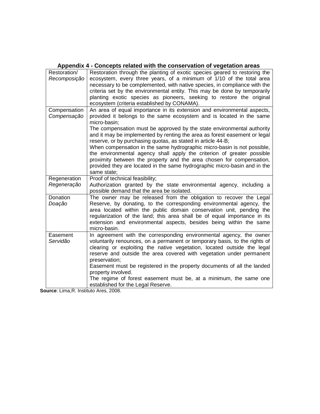|                              | Appendix 4 - Concepts related with the conservation or vegetation areas                                                                                                                                                                                                                                                                                                                                                                                                                                                                                                                                                                                                                                         |
|------------------------------|-----------------------------------------------------------------------------------------------------------------------------------------------------------------------------------------------------------------------------------------------------------------------------------------------------------------------------------------------------------------------------------------------------------------------------------------------------------------------------------------------------------------------------------------------------------------------------------------------------------------------------------------------------------------------------------------------------------------|
| Restoration/<br>Recomposição | Restoration through the planting of exotic species geared to restoring the<br>ecosystem, every three years, of a minimum of 1/10 of the total area<br>necessary to be complemented, with native species, in compliance with the<br>criteria set by the environmental entity. This may be done by temporarily<br>planting exotic species as pioneers, seeking to restore the original<br>ecosystem (criteria established by CONAMA).                                                                                                                                                                                                                                                                             |
| Compensation<br>Compensação  | An area of equal importance in its extension and environmental aspects,<br>provided it belongs to the same ecosystem and is located in the same<br>micro-basin;<br>The compensation must be approved by the state environmental authority<br>and it may be implemented by renting the area as forest easement or legal<br>reserve, or by purchasing quotas, as stated in article 44-B;<br>When compensation in the same hydrographic micro-basin is not possible,<br>the environmental agency shall apply the criterion of greater possible<br>proximity between the property and the area chosen for compensation,<br>provided they are located in the same hydrographic micro-basin and in the<br>same state; |
| Regeneration<br>Regeneração  | Proof of technical feasibility;<br>Authorization granted by the state environmental agency, including a<br>possible demand that the area be isolated.                                                                                                                                                                                                                                                                                                                                                                                                                                                                                                                                                           |
| Donation<br>Doação           | The owner may be released from the obligation to recover the Legal<br>Reserve, by donating, to the corresponding environmental agency, the<br>area located within the public domain conservation unit, pending the<br>regularization of the land; this area shall be of equal importance in its<br>extension and environmental aspects, besides being within the same<br>micro-basin.                                                                                                                                                                                                                                                                                                                           |
| Easement<br>Servidão         | In agreement with the corresponding environmental agency, the owner<br>voluntarily renounces, on a permanent or temporary basis, to the rights of<br>clearing or exploiting the native vegetation, located outside the legal<br>reserve and outside the area covered with vegetation under permanent<br>preservation;<br>Easement must be registered in the property documents of all the landed<br>property involved.<br>The regime of forest easement must be, at a minimum, the same one<br>established for the Legal Reserve.                                                                                                                                                                               |

## **Appendix 4 - Concepts related with the conservation of vegetation areas**

**Source**: Lima,R. Instituto Ares, 2008.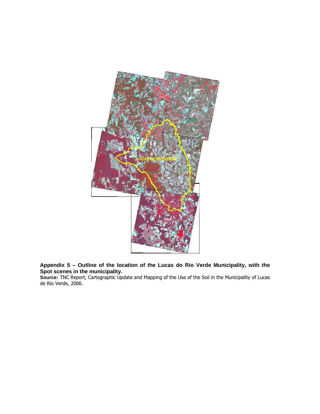

**Appendix 5 – Outline of the location of the Lucas do Rio Verde Municipality, with the Spot scenes in the municipality.** 

**Source**: TNC Report, Cartographic Update and Mapping of the Use of the Soil in the Municipality of Lucas de Rio Verde, 2006.